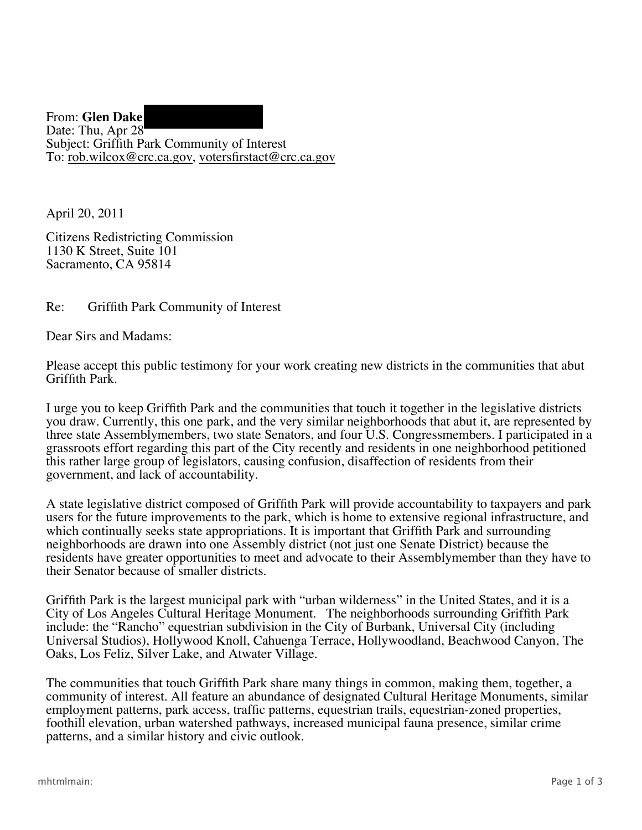From: **Glen Dake**  Date: Thu, Apr 28 Subject: Griffith Park Community of Interest To: rob.wilcox@crc.ca.gov , votersfirstact@crc.ca.gov

April 20, 2011

Citizens Redistricting Commission 1130 K Street, Suite 101 Sacramento, CA 95814

## Re: Griffith Park Community of Interest

Dear Sirs and Madams:

Please accept this public testimony for your work creating new districts in the communities that abut Griffith Park.

I urge you to keep Griffith Park and the communities that touch it together in the legislative districts you draw. Currently, this one park, and the very similar neighborhoods that abut it, are represented by three state Assemblymembers, two state Senators, and four U.S. Congressmembers. I participated in a grassroots effort regarding this part of the City recently and residents in one neighborhood petitioned this rather large group of legislators, causing confusion, disaffection of residents from their government, and lack of accountability.

A state legislative district composed of Griffith Park will provide accountability to taxpayers and park users for the future improvements to the park, which is home to extensive regional infrastructure, and which continually seeks state appropriations. It is important that Griffith Park and surrounding neighborhoods are drawn into one Assembly district (not just one Senate District) because the residents have greater opportunities to meet and advocate to their Assemblymember than they have to their Senator because of smaller districts.

 City of Los Angeles Cultural Heritage Monument. The neighborhoods surrounding Griffith Park Griffith Park is the largest municipal park with "urban wilderness" in the United States, and it is a include: the "Rancho" equestrian subdivision in the City of Burbank, Universal City (including Universal Studios), Hollywood Knoll, Cahuenga Terrace, Hollywoodland, Beachwood Canyon, The Oaks, Los Feliz, Silver Lake, and Atwater Village.

The communities that touch Griffith Park share many things in common, making them, together, a community of interest. All feature an abundance of designated Cultural Heritage Monuments, similar employment patterns, park access, traffic patterns, equestrian trails, equestrian-zoned properties, foothill elevation, urban watershed pathways, increased municipal fauna presence, similar crime patterns, and a similar history and civic outlook.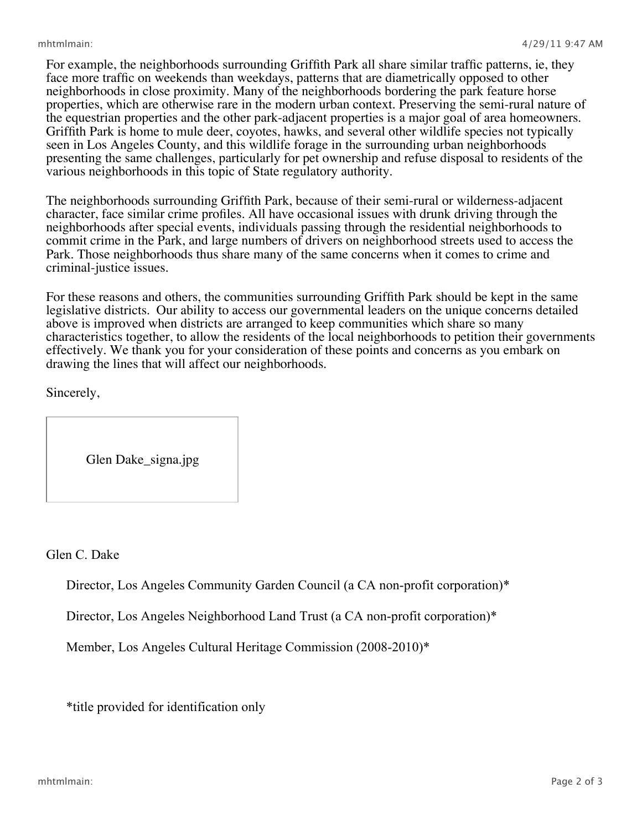presenting the same challenges, particularly for pet ownership and refuse disposal to residents of the For example, the neighborhoods surrounding Griffith Park all share similar traffic patterns, ie, they face more traffic on weekends than weekdays, patterns that are diametrically opposed to other neighborhoods in close proximity. Many of the neighborhoods bordering the park feature horse properties, which are otherwise rare in the modern urban context. Preserving the semi-rural nature of the equestrian properties and the other park-adjacent properties is a major goal of area homeowners. Griffith Park is home to mule deer, coyotes, hawks, and several other wildlife species not typically seen in Los Angeles County, and this wildlife forage in the surrounding urban neighborhoods various neighborhoods in this topic of State regulatory authority.

The neighborhoods surrounding Griffith Park, because of their semi-rural or wilderness-adjacent character, face similar crime profiles. All have occasional issues with drunk driving through the neighborhoods after special events, individuals passing through the residential neighborhoods to commit crime in the Park, and large numbers of drivers on neighborhood streets used to access the Park. Those neighborhoods thus share many of the same concerns when it comes to crime and criminal-justice issues.

For these reasons and others, the communities surrounding Griffith Park should be kept in the same legislative districts. Our ability to access our governmental leaders on the unique concerns detailed above is improved when districts are arranged to keep communities which share so many characteristics together, to allow the residents of the local neighborhoods to petition their governments effectively. We thank you for your consideration of these points and concerns as you embark on drawing the lines that will affect our neighborhoods.

Sincerely,

Glen Dake\_signa.jpg

Glen C. Dake

Director, Los Angeles Community Garden Council (a CA non-profit corporation)\*

Director, Los Angeles Neighborhood Land Trust (a CA non-profit corporation)\*

Member, Los Angeles Cultural Heritage Commission (2008-2010)\*

\*title provided for identification only